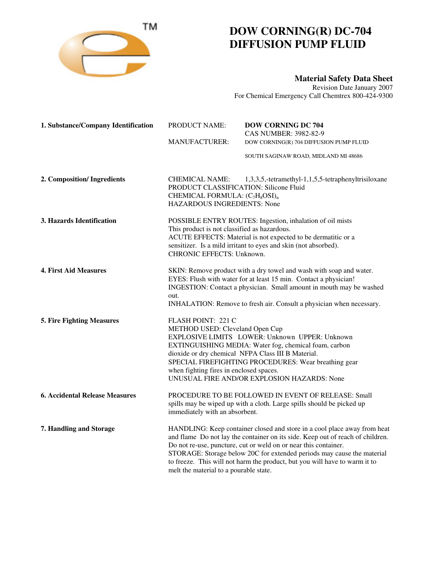

## **DOW CORNING(R) DC-704 DIFFUSION PUMP FLUID**

**Material Safety Data Sheet**

Revision Date January 2007 For Chemical Emergency Call Chemtrex 800-424-9300

| 1. Substance/Company Identification   | PRODUCT NAME:<br><b>MANUFACTURER:</b>                                                                                                                                                                                                                                                          | <b>DOW CORNING DC 704</b><br><b>CAS NUMBER: 3982-82-9</b><br>DOW CORNING(R) 704 DIFFUSION PUMP FLUID                                                                                                                                                                                                                                                                                  |
|---------------------------------------|------------------------------------------------------------------------------------------------------------------------------------------------------------------------------------------------------------------------------------------------------------------------------------------------|---------------------------------------------------------------------------------------------------------------------------------------------------------------------------------------------------------------------------------------------------------------------------------------------------------------------------------------------------------------------------------------|
|                                       |                                                                                                                                                                                                                                                                                                | SOUTH SAGINAW ROAD, MIDLAND MI 48686                                                                                                                                                                                                                                                                                                                                                  |
| 2. Composition/ Ingredients           | <b>CHEMICAL NAME:</b><br>PRODUCT CLASSIFICATION: Silicone Fluid<br>CHEMICAL FORMULA: (C <sub>7</sub> H <sub>8</sub> OSI) <sub>n</sub><br><b>HAZARDOUS INGREDIENTS: None</b>                                                                                                                    | 1,3,3,5,-tetramethyl-1,1,5,5-tetraphenyltrisiloxane                                                                                                                                                                                                                                                                                                                                   |
| 3. Hazards Identification             | POSSIBLE ENTRY ROUTES: Ingestion, inhalation of oil mists<br>This product is not classified as hazardous.<br>ACUTE EFFECTS: Material is not expected to be dermatitic or a<br>sensitizer. Is a mild irritant to eyes and skin (not absorbed).<br>CHRONIC EFFECTS: Unknown.                     |                                                                                                                                                                                                                                                                                                                                                                                       |
| <b>4. First Aid Measures</b>          | SKIN: Remove product with a dry towel and wash with soap and water.<br>EYES: Flush with water for at least 15 min. Contact a physician!<br>INGESTION: Contact a physician. Small amount in mouth may be washed<br>out.<br>INHALATION: Remove to fresh air. Consult a physician when necessary. |                                                                                                                                                                                                                                                                                                                                                                                       |
| <b>5. Fire Fighting Measures</b>      | FLASH POINT: 221 C<br>METHOD USED: Cleveland Open Cup<br>when fighting fires in enclosed spaces.                                                                                                                                                                                               | EXPLOSIVE LIMITS LOWER: Unknown UPPER: Unknown<br>EXTINGUISHING MEDIA: Water fog, chemical foam, carbon<br>dioxide or dry chemical NFPA Class III B Material.<br>SPECIAL FIREFIGHTING PROCEDURES: Wear breathing gear<br>UNUSUAL FIRE AND/OR EXPLOSION HAZARDS: None                                                                                                                  |
| <b>6. Accidental Release Measures</b> | immediately with an absorbent.                                                                                                                                                                                                                                                                 | PROCEDURE TO BE FOLLOWED IN EVENT OF RELEASE: Small<br>spills may be wiped up with a cloth. Large spills should be picked up                                                                                                                                                                                                                                                          |
| 7. Handling and Storage               | melt the material to a pourable state.                                                                                                                                                                                                                                                         | HANDLING: Keep container closed and store in a cool place away from heat<br>and flame Do not lay the container on its side. Keep out of reach of children.<br>Do not re-use, puncture, cut or weld on or near this container.<br>STORAGE: Storage below 20C for extended periods may cause the material<br>to freeze. This will not harm the product, but you will have to warm it to |